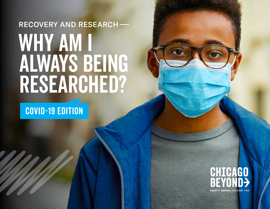# WHY AM I ALWAYS BEING RESEARCHED? RECOVERY AND RESEARCH

COVID-19 EDITION

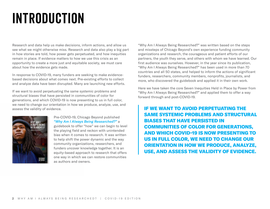# INTRODUCTION

Research and data help us make decisions, inform actions, and allow us see what we might otherwise miss. Research and data also play a big part in how stories are told, how power gets perpetuated, and how inequities remain in place. If evidence matters to how we use this crisis as an opportunity to create a more just and equitable society, we must care about how the evidence gets made.

In response to COVID-19, many funders are seeking to make evidencebased decisions about what comes next. Pre-existing efforts to collect and analyze data have been disrupted. Many are launching new efforts.

If we want to avoid perpetuating the same systemic problems and structural biases that have persisted in communities of color for generations, and which COVID-19 is now presenting to us in full color, we need to change our orientation in how we produce, analyze, use, and assess the validity of evidence.



## Pre-COVID-19, Chicago Beyond published *["Why Am I Always Being Researched?"](https://chicagobeyond.org/researchequity/)* a

guidebook to offer "how" we can begin to level the playing field and reckon with unintended bias when it comes to research. It was written to help shift the power dynamic and the way community organizations, researchers, and funders uncover knowledge together. It is an equity-based approach to research that offers one way in which we can restore communities as authors and owners.

"Why Am I Always Being Researched?" was written based on the steps and missteps of Chicago Beyond's own experience funding community organizations and research, the courageous and patient efforts of our partners, the youth they serve, and others with whom we have learned. Our first audience was ourselves. However, in the year since its publication, "Why Am I Always Being Researched?" has been used in more than 70 countries and all 50 states, and helped to inform the actions of significant funders, researchers, community members, nonprofits, journalists, and more, who discovered the guidebook and applied it in their own work.

Here we have taken the core Seven Inequities Held in Place by Power from "Why Am I Always Being Researched?" and applied them to offer a way forward through and post-COVID-19.

IF WE WANT TO AVOID PERPETUATING THE SAME SYSTEMIC PROBLEMS AND STRUCTURAL BIASES THAT HAVE PERSISTED IN COMMUNITIES OF COLOR FOR GENERATIONS, AND WHICH COVID-19 IS NOW PRESENTING TO US IN FULL COLOR, WE NEED TO CHANGE OUR ORIENTATION IN HOW WE PRODUCE, ANALYZE, USE, AND ASSESS THE VALIDITY OF EVIDENCE.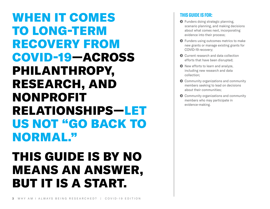# WHEN IT COMES TO LONG-TERM RECOVERY FROM COVID-19—ACROSS PHILANTHROPY, RESEARCH, AND NONPROFIT RELATIONSHIPS—LET US NOT "GO BACK TO NORMAL."

# THIS GUIDE IS BY NO MEANS AN ANSWER, BUT IT IS A START.

# **THIS GUIDE IS FOR:**

- **O** Funders doing strategic planning, scenario planning, and making decisions about what comes next, incorporating evidence into their process;
- $\odot$  Funders using outcomes metrics to make new grants or manage existing grants for COVID-19 recovery;
- **O** Current research and data collection efforts that have been disrupted;
- $\odot$  New efforts to learn and analyze, including new research and data collection;
- $\odot$  Community organizations and community members seeking to lead on decisions about their communities;
- **O** Community organizations and community members who may participate in evidence-making.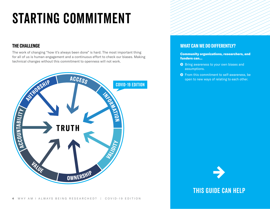# STARTING COMMITMENT

# **THE CHALLENGE**

The work of changing "how it's always been done" is hard. The most important thing for all of us is human engagement and a continuous effort to check our biases. Making technical changes without this commitment to openness will not work.



# **WHAT CAN WE DO DIFFERENTLY?**

Community organizations, researchers, and funders can...

- **O** Bring awareness to your own biases and assumptions.
- **O** From this commitment to self-awareness, be open to new ways of relating to each other.

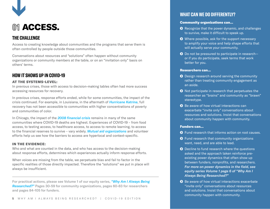

# **O11 ACCESS.**

# **THE CHALLENGE**

Access to creating knowledge about communities and the programs that serve them is often controlled by people outside those communities.

Conversations about resources and "solutions" often happen without community organizations or community members at the table, or on an "invitation only" basis on others' terms.

# **HOW IT SHOWS UP IN COVID-19**

## AT THE SYSTEMS-LEVEL:

In previous crises, those with access to decision-making tables often had more success accessing resources for recovery.

In previous crises, response efforts ended, while for some communities, the impact of the crisis continued. For example, in Louisiana, in the aftermath of *[Hurricane Katrina](https://www.kff.org/other/report/new-orleans-ten-years-after-the-storm-the-kaiser-family-foundation-katrina-survey-project/)*, full recovery has not been accessible to communities with higher concentrations of poverty and communities of color.

In Chicago, the impact of the *[2008 financial crisis](https://www.chicagotribune.com/real-estate/ct-re-chicago-underwater-mortgages-20180603-story.html)* remains in many of the same communities where COVID-19 deaths are highest. Experiences of COVID-19 – from food access, to testing access, to healthcare access, to access to remote learning, to access to the financial reserves to survive – vary widely. *[Mutual aid organizations](https://www.latimes.com/california/story/2020-04-02/neighbors-help-during-coronavirus-communities)* and volunteer efforts help us see how the barriers to access are hyperlocal and context-specific.

### IN THE EVIDENCE:

Who and what are counted in the data, and who has access to the decision-making about response efforts, determines which experiences actually inform response efforts.

When voices are missing from the table, we perpetuate bias and fail to factor in the specific realities of those directly impacted. Therefore the "solutions" we put in place will always be insufficient.

For practical actions, please see Volume 1 of our equity series, *["Why Am I Always Being](https://chicagobeyond.org/researchequity/)  [Researched?"](https://chicagobeyond.org/researchequity/)* Pages 30-59 for community organizations, pages 60-83 for researchers and pages 84-105 for funders.

# **WHAT CAN WE DO DIFFERENTLY?**

#### Community organizations can...

- **◆** Recognize that the power dynamic, and challenges to survive, make it difficult to speak up.
- $\odot$  Where possible, ask for the support necessary to amplify your voice and help shape efforts that will actually serve your community.
- $\bullet$  Do not be pressured to participate in researchor if you do participate, seek terms that work better for you.

#### Researchers can...

- **O** Design research around serving the community rather than treating community engagement as an aside.
- **O** Not participate in research that perpetuates the researcher as "brains" and community as "brawn" stereotype.
- $\odot$  Be aware of how virtual interactions can exacerbate "invite only" conversations about resources and solutions. Insist that conversations about community happen with community.

- **O** Fund research that informs action on root causes.
- $\odot$  Fund research that community organizations want, need, and are able to lead.
- **O** Decline to fund research where the questions asked and the approach taken reinforce preexisting power dynamics that often show up between funders, nonprofits, and researchers. *For more on power dynamics in the field, see equity series Volume 1 page 6 of ["Why Am I](https://chicagobeyond.org/researchequity/)  [Always Being Researched?"](https://chicagobeyond.org/researchequity/)*
- **◆** Be aware of how virtual interactions exacerbate "invite only" conversations about resources and solutions. Insist that conversations about community happen with community.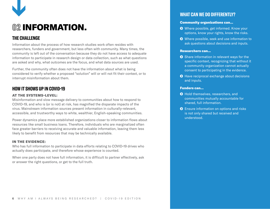

# **02** INFORMATION.

# **THE CHALLENGE**

Information about the process of how research studies work often resides with researchers, funders and government, but less often with community. Many times, the community is left out of the conversation because they do not have access to adequate information to participate in research design or data collection, such as what questions are asked and why, what outcomes are the focus, and what data sources are used.

Further, the community often does not have the information about what is being considered to verify whether a proposed "solution" will or will not fit their context, or to interrupt misinformation about them.

# **HOW IT SHOWS UP IN COVID-19**

## AT THE SYSTEMS-LEVEL:

Misinformation and slow message delivery to communities about how to respond to COVID-19, and who is (or is not) at risk, has magnified the disparate impacts of the virus. Mainstream information sources present information in culturally-relevant, accessible, and trustworthy ways to white, wealthier, English-speaking communities.

Power dynamics place more established organizations closer to information flows about resources like small business loans. Therefore, individuals who are marginalized often face greater barriers to receiving accurate and valuable information, leaving them less likely to benefit from resources that may be technically available.

#### IN THE EVIDENCE:

Who has full information to participate in data efforts relating to COVID-19 drives who actually does participate, and therefore whose experience is counted.

When one party does not have full information, it is difficult to partner effectively, ask or answer the right questions, or get to the full truth.

# **WHAT CAN WE DO DIFFERENTLY?**

#### Community organizations can...

- **O** Where possible, get informed. Know your options, know your rights, know the risks.
- **◆** Where possible, seek and use information to ask questions about decisions and inputs.

#### Researchers can...

- Share information in relevant ways for the specific context, recognizing that without it a community organization cannot actually consent to participating in the evidence.
- **O** Have reciprocal exchange about decisions and inputs.

- **O** Hold themselves, researchers, and communities mutually accountable for shared, full information.
- **O** Ensure information on options and risks is not only shared but received and understood.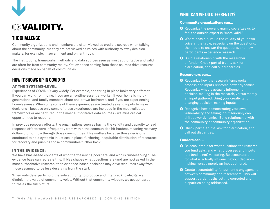

# **03** VALIDITY.

# **THE CHALLENGE**

Community organizations and members are often viewed as credible sources when talking about the community, but they are not viewed as voices with authority to sway decisionmakers, for example, in government and philanthropy.

The institutions, frameworks, methods and data sources seen as most authoritative and valid are often far from community reality. Yet, evidence coming from these sources drive resource decisions made on behalf of communities.

# **HOW IT SHOWS UP IN COVID-19**

## AT THE SYSTEMS-LEVEL:

Experiences of COVID-19 vary widely. For example, sheltering in place looks very different if you can work from home, if you are a frontline essential worker, if your home is multigenerational and family members share one or two bedrooms, and if you are experiencing homelessness. When only some of these experiences are treated as valid inputs to make decisions - because only some of these experiences are included in the most validated frameworks or are captured in the most authoritative data sources - we miss critical opportunities to respond.

In previous recovery efforts, the organizations seen as having the validity and capacity to lead response efforts were infrequently from within the communities hit hardest, meaning recovery dollars did not flow through those communities. This matters because those decisions continued to hold systemic injustices in place, furthering inequitable distribution of resources for recovery and pushing those communities further back.

#### IN THE EVIDENCE:

We have bias-based concepts of who the "deserving poor" are, and who is "undeserving." The evidence base can recreate this. If bias shapes what questions are (and are not) asked in the most authoritative research, then evidence-based decisions may drive resources away from those assumed to be less deserving from the start.

When outside experts hold the sole authority to produce and interpret knowledge, we diminish the value of community voice. Without that community wisdom, we accept partial truths as the full picture.

# **WHAT CAN WE DO DIFFERENTLY?**

#### Community organizations can...

- **◆** Recognize the power dynamic socializes us to feel the outside expert is "more valid."
- $\odot$  Where possible, value the validity of your own voice at the table, especially on the questions, the inputs to answer the questions, and how participants experience research.
- **O** Build a relationship with the researcher or funder. Check partial truths, ask for clarification, and call out disparities.

#### Researchers can...

- **◆** Recognize how the research frameworks, process and inputs reinforce power dynamics. Recognize what is actually influencing decision-making in the research, versus merely an input gathered. Bring your creativity to changing decision-making inputs.
- **O** Recognize how demonstrating your own vulnerability and taking input seriously can shift power dynamics. Build relationship with the community or community organization.
- **O** Check partial truths, ask for clarification, and call out disparities.

- **◆** Be accountable for what questions the research you fund asks, and what processes and inputs it is (and is not) validating. Be accountable for what is actually influencing your decisionmaking, versus merely an input gathered.
- **◆** Create accountability for authentic engagement between community and researchers. This will support partial truths getting corrected and disparities being addressed.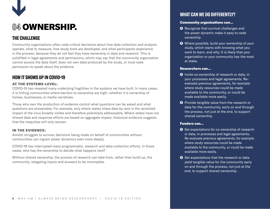

# **04** OWNERSHIP.

# **THE CHALLENGE**

Community organizations often cede critical decisions about how data collection and analysis operate, what to measure, how study tools are developed, and what participants experience in the process, because they do not feel they have ownership in data and research. This is solidified in legal agreements and permissions, which may say that the community organization cannot access the data itself, does not own data produced by the study, or must seek permission to speak about the evidence.

# **HOW IT SHOWS UP IN COVID-19**

## AT THE SYSTEMS-LEVEL:

COVID-19 has revealed many underlying fragilities in the systems we have built. In many cases, it is hitting communities where barriers to ownership are high—whether it is ownership of homes, businesses, or media narratives.

Those who own the production of evidence control what questions can be asked and what questions are answerable. For example, only where states share data by race is the racialized impact of the virus broadly visible and therefore potentially addressable. Where states have not shared data and response efforts are based on aggregate impact, historical evidence suggests that the inequities will only worsen.

## IN THE EVIDENCE:

Amidst struggles to survive, decisions being made on behalf of communities without communities can ingrain power dynamics even more deeply.

COVID-19 has interrupted many programmatic, research and data-collection efforts. In these cases, who has the ownership to decide what happens next?

Without shared ownership, the process of research can take from, rather than build up, the community, relegating inputs and answers to be incomplete.

# **WHAT CAN WE DO DIFFERENTLY?**

### Community organizations can...

- **•** Recognize that survival challenges and the power dynamic make it easy to cede ownership.
- ◆ Where possible, build your ownership of your study, which starts with knowing what you want to learn, and why. It is likely that your organization or your community has the most at stake.

#### Researchers can...

- **O** Invite co-ownership of research or data, in your processes and legal agreements. Reevaluate previous agreements, for example where study resources could be made available to the community, or could be made available more easily.
- **O** Provide tangible value from the research or data for the community, early on and through the process, not just at the end, to support shared ownership.

- Set expectations for co-ownership of research or data, in processes and legal agreements. Re-evaluate previous agreements, for example where study resources could be made available to the community, or could be made available more easily.
- Set expectations that the research or data yield tangible value for the community early on and through the process, not just at the end, to support shared ownership.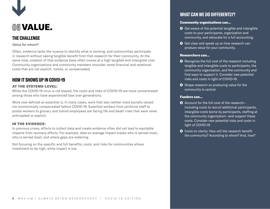

# **05** VALUE.

# **THE CHALLENGE**

#### *Value for whom?*

Often, evidence lacks the nuance to identify what is working, and communities participate in research without seeing tangible benefit from that research for their community. At the same time, creation of that evidence base often comes at a high tangible and intangible cost. Community organizations and community members shoulder some financial and relational costs that are not explicit, visible, or compensated.

# **HOW IT SHOWS UP IN COVID-19**

## AT THE SYSTEMS-LEVEL:

While the COVID-19 virus is not biased, the costs and risks of COVID-19 are more concentrated among those who have experienced bias over generations.

Work now defined as essential is, in many cases, work that was neither most socially valued nor economically compensated before COVID-19. Essential workers from janitorial staff to postal workers to grocery and transit employees are facing life and death risks that were never anticipated or explicit.

## IN THE EVIDENCE:

In previous crises, efforts to collect data and create evidence often did not lead to equitable impacts from recovery efforts. For example, data on average impact masks who is served most, who is served least, and where gaps are widening.

Not focusing on the specific and full benefits, costs, and risks for communities allows investment to be high, while impact is low.

# **WHAT CAN WE DO DIFFERENTLY?**

#### Community organizations can...

- $\bullet$  Get aware of the potential tangible and intangible costs to your participants, organization and community, and advocate for a full accounting.
- **O** Get clear and speak up on how research can produce value for your community.

### Researchers can...

- **O** Recognize the full cost of the research including tangible and intangible costs to participants, the community organization, and the community and find ways to support it. Consider new potential risks and costs in light of COVID-19.
- Shape research so producing value for the community is central.

- $\bullet$  Account for the full cost of the researchincluding costs to recruit additional participants, intangible costs borne by participants, staffing at the community organization—and support these costs. Consider new potential risks and costs in light of COVID-19.
- **O** Insist on clarity: How will the research benefit the community? According to whom? And, how?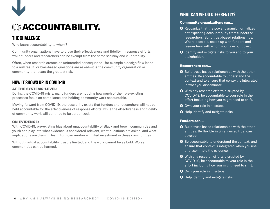

# **06** ACCOUNTABILITY.

# **THE CHALLENGE**

Who bears accountability to whom?

Community organizations have to prove their effectiveness and fidelity in response efforts, while funders and researchers can be exempt from the same scrutiny and vulnerability.

Often, when research creates an unintended consequence—for example a design flaw leads to a null result, or bias-based questions are asked—it is the community organization or community that bears the greatest risk.

# **HOW IT SHOWS UP IN COVID-19**

## AT THE SYSTEMS-LEVEL:

During the COVID-19 crisis, many funders are noticing how much of their pre-existing processes focus on compliance and holding community work accountable.

Moving forward from COVID-19, the possibility exists that funders and researchers will not be held accountable for the effectiveness of response efforts, while the effectiveness and fidelity of community work will continue to be scrutinized.

## ON EVIDENCE:

With COVID-19, pre-existing bias about unaccountability of Black and brown communities and youth can play into what evidence is considered relevant, what questions are asked, and what implications are drawn. This in turn can reinforce limited investment in these communities.

Without mutual accountability, trust is limited, and the work cannot be as bold. Worse, communities can be harmed.

# **WHAT CAN WE DO DIFFERENTLY?**

#### Community organizations can...

- **◆** Recognize that the power dynamic normalizes not expecting accountability from funders or researchers. Build trust-based relationships. Where possible, speak up with funders and researchers with whom you have built trust.
- **O** Identify and mitigate risks to you and to your stakeholders.

#### Researchers can...

- $\odot$  Build trust-based relationships with the other entities. Be accountable to understand the context and to ensure that context is integrated in what you disseminate.
- **O** With any research efforts disrupted by COVID-19, be accountable to your role in the effort including how you might need to shift.
- **O** Own your role in missteps.
- **O** Help identify and mitigate risks.

- $\odot$  Build trust-based relationships with the other entities. Be flexible in timelines so trust can develop.
- **◆** Be accountable to understand the context, and ensure that context is integrated when you use or disseminate the evidence.
- **O** With any research efforts disrupted by COVID-19, be accountable to your role in the effort including how you might need to shift.
- **O** Own your role in missteps.
- **O** Help identify and mitigate risks.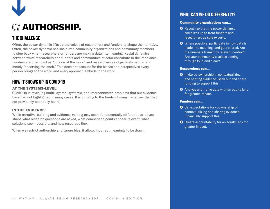

# **07** AUTHORSHIP.

# **THE CHALLENGE**

Often, the power dynamic lifts up the voices of researchers and funders to shape the narrative. Often, the power dynamic has socialized community organizations and community members to step back when researchers or funders are making data into meaning. Racial dynamics between white researchers and funders and communities of color contribute to the imbalance. Funders are often cast as "outside of the work," and researchers as objectively neutral and merely "observing the work." This does not account for the biases and perspectives every person brings to the work, and every approach embeds in the work.

# **HOW IT SHOWS UP IN COVID-19**

## AT THE SYSTEMS-LEVEL:

COVID-19 is revealing multi-layered, systemic, and interconnected problems that our evidence base had not highlighted in many cases. It is bringing to the forefront many narratives that had not previously been fully heard.

### IN THE EVIDENCE:

While narrative-building and evidence-making may seem fundamentally different, narratives shape what research questions are asked, what comparison points appear relevant, what solutions seem possible, and how resources flow.

When we restrict authorship and ignore bias, it allows incorrect meanings to be drawn.

# **WHAT CAN WE DO DIFFERENTLY?**

#### Community organizations can...

- **◆** Recognize that the power dynamic socializes us to treat funders and researchers as sole experts.
- $\odot$  Where possible, participate in how data is made into meaning, and gets shared. Are the numbers framed by relevant context? Are your community's voices coming through loud and clear?

#### Researchers can...

- **O** Invite co-ownership in contextualizing and sharing evidence. Seek out and share funding to support this.
- **O** Analyze and frame data with an equity lens for greater impact.

- Set expectations for coownership of contextualizing and sharing evidence. Financially support this.
- **◆** Create accountability for an equity lens for greater impact.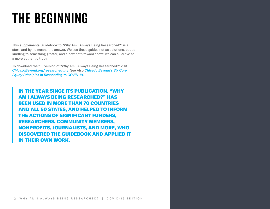# THE BEGINNING

This supplemental guidebook to "Why Am I Always Being Researched?" is a start, and by no means the answer. We see these guides not as solutions, but as kindling to something greater, and a new path toward "how" we can all arrive at a more authentic truth.

To download the full version of "Why Am I Always Being Researched?" visit *[ChicagoBeyond.org/researchequity](https://chicagobeyond.org/researchequity/)*. See Also *[Chicago Beyond's Six Core](https://chicagobeyond.org/2020/04/10/six-principles/)  [Equity Principles in Responding to COVID-19](https://chicagobeyond.org/2020/04/10/six-principles/)*.

IN THE YEAR SINCE ITS PUBLICATION, "WHY AM I ALWAYS BEING RESEARCHED?" HAS BEEN USED IN MORE THAN 70 COUNTRIES AND ALL 50 STATES, AND HELPED TO INFORM THE ACTIONS OF SIGNIFICANT FUNDERS, RESEARCHERS, COMMUNITY MEMBERS, NONPROFITS, JOURNALISTS, AND MORE, WHO DISCOVERED THE GUIDEBOOK AND APPLIED IT IN THEIR OWN WORK.